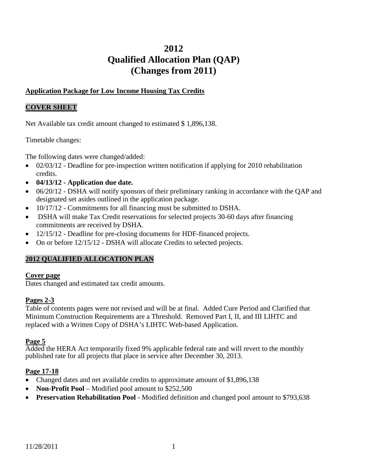# **2012 Qualified Allocation Plan (QAP) (Changes from 2011)**

# **Application Package for Low Income Housing Tax Credits**

#### **COVER SHEET**

Net Available tax credit amount changed to estimated \$1,896,138.

Timetable changes:

The following dates were changed/added:

- $\bullet$  02/03/12 Deadline for pre-inspection written notification if applying for 2010 rehabilitation credits.
- **04/13/12 - Application due date.**
- 06/20/12 DSHA will notify sponsors of their preliminary ranking in accordance with the QAP and designated set asides outlined in the application package.
- 10/17/12 Commitments for all financing must be submitted to DSHA.
- DSHA will make Tax Credit reservations for selected projects 30-60 days after financing commitments are received by DSHA.
- 12/15/12 Deadline for pre-closing documents for HDF-financed projects.
- On or before  $12/15/12$  DSHA will allocate Credits to selected projects.

# **2012 QUALIFIED ALLOCATION PLAN**

#### **Cover page**

Dates changed and estimated tax credit amounts.

# **Pages 2-3**

Table of contents pages were not revised and will be at final. Added Cure Period and Clarified that Minimum Construction Requirements are a Threshold. Removed Part I, II, and III LIHTC and replaced with a Written Copy of DSHA's LIHTC Web-based Application.

#### **Page 5**

Added the HERA Act temporarily fixed 9% applicable federal rate and will revert to the monthly published rate for all projects that place in service after December 30, 2013.

# **Page 17-18**

- Changed dates and net available credits to approximate amount of \$1,896,138
- **Non-Profit Pool** Modified pool amount to \$252,500
- **Preservation Rehabilitation Pool** Modified definition and changed pool amount to \$793,638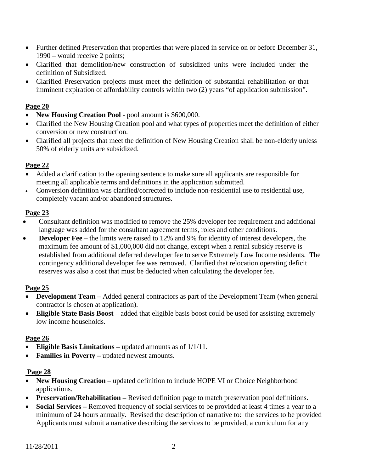- Further defined Preservation that properties that were placed in service on or before December 31, 1990 – would receive 2 points;
- Clarified that demolition/new construction of subsidized units were included under the definition of Subsidized.
- Clarified Preservation projects must meet the definition of substantial rehabilitation or that imminent expiration of affordability controls within two (2) years "of application submission".

- **New Housing Creation Pool** pool amount is \$600,000.
- Clarified the New Housing Creation pool and what types of properties meet the definition of either conversion or new construction.
- Clarified all projects that meet the definition of New Housing Creation shall be non-elderly unless 50% of elderly units are subsidized.

# **Page 22**

- Added a clarification to the opening sentence to make sure all applicants are responsible for meeting all applicable terms and definitions in the application submitted.
- Conversion definition was clarified/corrected to include non-residential use to residential use, completely vacant and/or abandoned structures.

# **Page 23**

- Consultant definition was modified to remove the 25% developer fee requirement and additional language was added for the consultant agreement terms, roles and other conditions.
- **Developer Fee** the limits were raised to 12% and 9% for identity of interest developers, the maximum fee amount of \$1,000,000 did not change, except when a rental subsidy reserve is established from additional deferred developer fee to serve Extremely Low Income residents. The contingency additional developer fee was removed. Clarified that relocation operating deficit reserves was also a cost that must be deducted when calculating the developer fee.

# **Page 25**

- **Development Team –** Added general contractors as part of the Development Team (when general contractor is chosen at application).
- **Eligible State Basis Boost** added that eligible basis boost could be used for assisting extremely low income households.

# **Page 26**

- **Eligible Basis Limitations –** updated amounts as of 1/1/11.
- **Families in Poverty –** updated newest amounts.

# **Page 28**

- **New Housing Creation** updated definition to include HOPE VI or Choice Neighborhood applications.
- **Preservation/Rehabilitation –** Revised definition page to match preservation pool definitions.
- **Social Services** Removed frequency of social services to be provided at least 4 times a year to a minimum of 24 hours annually. Revised the description of narrative to: the services to be provided Applicants must submit a narrative describing the services to be provided, a curriculum for any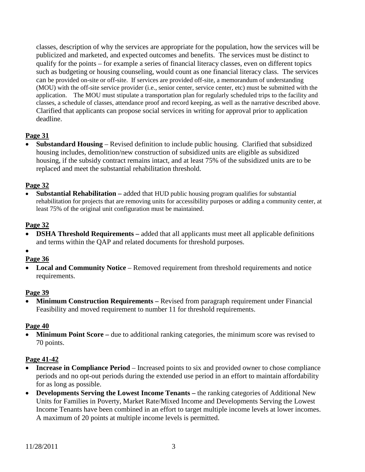classes, description of why the services are appropriate for the population, how the services will be publicized and marketed, and expected outcomes and benefits. The services must be distinct to qualify for the points – for example a series of financial literacy classes, even on different topics such as budgeting or housing counseling, would count as one financial literacy class. The services can be provided on-site or off-site. If services are provided off-site, a memorandum of understanding (MOU) with the off-site service provider (i.e., senior center, service center, etc) must be submitted with the application. The MOU must stipulate a transportation plan for regularly scheduled trips to the facility and classes, a schedule of classes, attendance proof and record keeping, as well as the narrative described above. Clarified that applicants can propose social services in writing for approval prior to application deadline.

# **Page 31**

• **Substandard Housing** – Revised definition to include public housing. Clarified that subsidized housing includes, demolition/new construction of subsidized units are eligible as subsidized housing, if the subsidy contract remains intact, and at least 75% of the subsidized units are to be replaced and meet the substantial rehabilitation threshold.

#### **Page 32**

• **Substantial Rehabilitation –** added that HUD public housing program qualifies for substantial rehabilitation for projects that are removing units for accessibility purposes or adding a community center, at least 75% of the original unit configuration must be maintained.

#### **Page 32**

- **DSHA Threshold Requirements** added that all applicants must meet all applicable definitions and terms within the QAP and related documents for threshold purposes.
- •

# **Page 36**

• Local and Community Notice – Removed requirement from threshold requirements and notice requirements.

#### **Page 39**

• **Minimum Construction Requirements –** Revised from paragraph requirement under Financial Feasibility and moved requirement to number 11 for threshold requirements.

#### **Page 40**

• **Minimum Point Score** – due to additional ranking categories, the minimum score was revised to 70 points.

#### **Page 41-42**

- **Increase in Compliance Period** Increased points to six and provided owner to chose compliance periods and no opt-out periods during the extended use period in an effort to maintain affordability for as long as possible.
- **Developments Serving the Lowest Income Tenants –** the ranking categories of Additional New Units for Families in Poverty, Market Rate/Mixed Income and Developments Serving the Lowest Income Tenants have been combined in an effort to target multiple income levels at lower incomes. A maximum of 20 points at multiple income levels is permitted.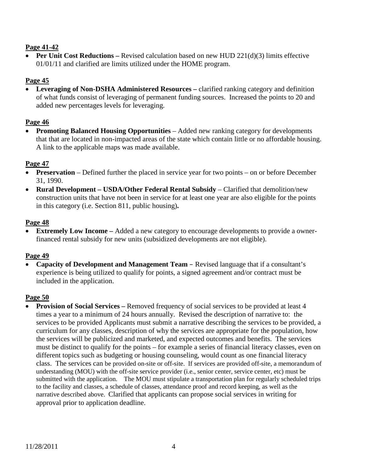# **Page 41-42**

• **Per Unit Cost Reductions** – Revised calculation based on new HUD 221(d)(3) limits effective 01/01/11 and clarified are limits utilized under the HOME program.

# **Page 45**

• **Leveraging of Non-DSHA Administered Resources –** clarified ranking category and definition of what funds consist of leveraging of permanent funding sources. Increased the points to 20 and added new percentages levels for leveraging.

# **Page 46**

• **Promoting Balanced Housing Opportunities** – Added new ranking category for developments that that are located in non-impacted areas of the state which contain little or no affordable housing. A link to the applicable maps was made available.

# **Page 47**

- **Preservation** Defined further the placed in service year for two points on or before December 31, 1990.
- **Rural Development USDA/Other Federal Rental Subsidy Clarified that demolition/new** construction units that have not been in service for at least one year are also eligible for the points in this category (i.e. Section 811, public housing)**.**

# **Page 48**

• **Extremely Low Income –** Added a new category to encourage developments to provide a ownerfinanced rental subsidy for new units (subsidized developments are not eligible).

# **Page 49**

• **Capacity of Development and Management Team** – Revised language that if a consultant's experience is being utilized to qualify for points, a signed agreement and/or contract must be included in the application.

# **Page 50**

• **Provision of Social Services** – Removed frequency of social services to be provided at least 4 times a year to a minimum of 24 hours annually. Revised the description of narrative to: the services to be provided Applicants must submit a narrative describing the services to be provided, a curriculum for any classes, description of why the services are appropriate for the population, how the services will be publicized and marketed, and expected outcomes and benefits. The services must be distinct to qualify for the points – for example a series of financial literacy classes, even on different topics such as budgeting or housing counseling, would count as one financial literacy class. The services can be provided on-site or off-site. If services are provided off-site, a memorandum of understanding (MOU) with the off-site service provider (i.e., senior center, service center, etc) must be submitted with the application. The MOU must stipulate a transportation plan for regularly scheduled trips to the facility and classes, a schedule of classes, attendance proof and record keeping, as well as the narrative described above. Clarified that applicants can propose social services in writing for approval prior to application deadline.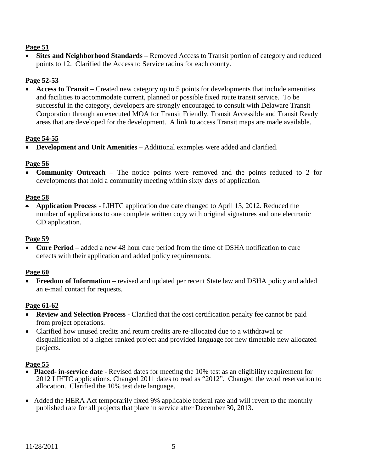• **Sites and Neighborhood Standards** – Removed Access to Transit portion of category and reduced points to 12. Clarified the Access to Service radius for each county.

# **Page 52-53**

• **Access to Transit** – Created new category up to 5 points for developments that include amenities and facilities to accommodate current, planned or possible fixed route transit service. To be successful in the category, developers are strongly encouraged to consult with Delaware Transit Corporation through an executed MOA for Transit Friendly, Transit Accessible and Transit Ready areas that are developed for the development. A link to access Transit maps are made available.

# **Page 54-55**

• **Development and Unit Amenities –** Additional examples were added and clarified.

#### **Page 56**

• **Community Outreach –** The notice points were removed and the points reduced to 2 for developments that hold a community meeting within sixty days of application.

#### **Page 58**

• **Application Process** - LIHTC application due date changed to April 13, 2012. Reduced the number of applications to one complete written copy with original signatures and one electronic CD application.

#### **Page 59**

• **Cure Period** – added a new 48 hour cure period from the time of DSHA notification to cure defects with their application and added policy requirements.

# **Page 60**

• **Freedom of Information** – revised and updated per recent State law and DSHA policy and added an e-mail contact for requests.

#### **Page 61-62**

- **Review and Selection Process -** Clarified that the cost certification penalty fee cannot be paid from project operations.
- Clarified how unused credits and return credits are re-allocated due to a withdrawal or disqualification of a higher ranked project and provided language for new timetable new allocated projects.

#### **Page 55**

- **Placed- in-service date**  Revised dates for meeting the 10% test as an eligibility requirement for 2012 LIHTC applications. Changed 2011 dates to read as "2012". Changed the word reservation to allocation. Clarified the 10% test date language.
- Added the HERA Act temporarily fixed 9% applicable federal rate and will revert to the monthly published rate for all projects that place in service after December 30, 2013.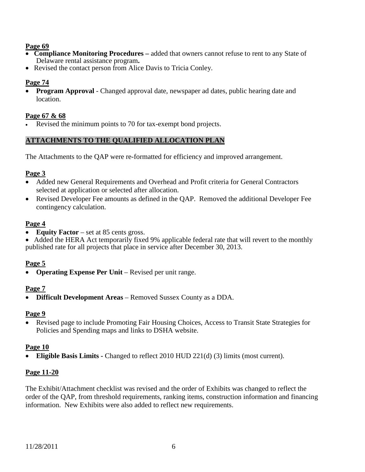- **Compliance Monitoring Procedures –** added that owners cannot refuse to rent to any State of Delaware rental assistance program**.**
- Revised the contact person from Alice Davis to Tricia Conley.

#### **Page 74**

• **Program Approval** - Changed approval date, newspaper ad dates, public hearing date and location.

#### **Page 67 & 68**

Revised the minimum points to 70 for tax-exempt bond projects.

# **ATTACHMENTS TO THE QUALIFIED ALLOCATION PLAN**

The Attachments to the QAP were re-formatted for efficiency and improved arrangement.

#### **Page 3**

- Added new General Requirements and Overhead and Profit criteria for General Contractors selected at application or selected after allocation.
- Revised Developer Fee amounts as defined in the QAP. Removed the additional Developer Fee contingency calculation.

#### **Page 4**

• **Equity Factor** – set at 85 cents gross.

• Added the HERA Act temporarily fixed 9% applicable federal rate that will revert to the monthly published rate for all projects that place in service after December 30, 2013.

#### **Page 5**

• **Operating Expense Per Unit** – Revised per unit range.

#### **Page 7**

• **Difficult Development Areas** – Removed Sussex County as a DDA.

#### **Page 9**

• Revised page to include Promoting Fair Housing Choices, Access to Transit State Strategies for Policies and Spending maps and links to DSHA website.

# **Page 10**

• **Eligible Basis Limits -** Changed to reflect 2010 HUD 221(d) (3) limits (most current).

# **Page 11-20**

The Exhibit/Attachment checklist was revised and the order of Exhibits was changed to reflect the order of the QAP, from threshold requirements, ranking items, construction information and financing information. New Exhibits were also added to reflect new requirements.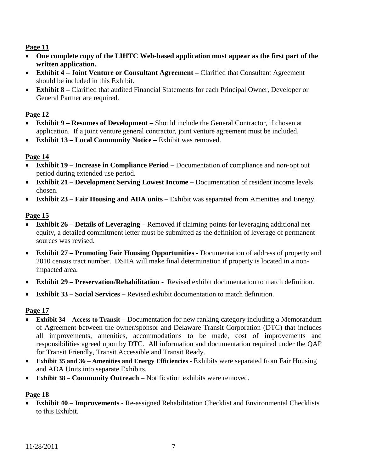- **One complete copy of the LIHTC Web-based application must appear as the first part of the written application.**
- **Exhibit 4 – Joint Venture or Consultant Agreement –** Clarified that Consultant Agreement should be included in this Exhibit.
- **Exhibit 8 –** Clarified that audited Financial Statements for each Principal Owner, Developer or General Partner are required.

# **Page 12**

- **Exhibit 9 – Resumes of Development –** Should include the General Contractor, if chosen at application. If a joint venture general contractor, joint venture agreement must be included.
- **Exhibit 13 – Local Community Notice –** Exhibit was removed.

# **Page 14**

- **Exhibit 19 – Increase in Compliance Period –** Documentation of compliance and non-opt out period during extended use period.
- **Exhibit 21 – Development Serving Lowest Income –** Documentation of resident income levels chosen.
- **Exhibit 23 – Fair Housing and ADA units –** Exhibit was separated from Amenities and Energy.

# **Page 15**

- **Exhibit 26 – Details of Leveraging –** Removed if claiming points for leveraging additional net equity, a detailed commitment letter must be submitted as the definition of leverage of permanent sources was revised.
- **Exhibit 27 – Promoting Fair Housing Opportunities -** Documentation of address of property and 2010 census tract number. DSHA will make final determination if property is located in a nonimpacted area.
- **Exhibit 29 – Preservation/Rehabilitation** Revised exhibit documentation to match definition.
- **Exhibit 33 – Social Services –** Revised exhibit documentation to match definition.

# **Page 17**

- **Exhibit 34 – Access to Transit –** Documentation for new ranking category including a Memorandum of Agreement between the owner/sponsor and Delaware Transit Corporation (DTC) that includes all improvements, amenities, accommodations to be made, cost of improvements and responsibilities agreed upon by DTC. All information and documentation required under the QAP for Transit Friendly, Transit Accessible and Transit Ready.
- **Exhibit 35 and 36 – Amenities and Energy Efficiencies -** Exhibits were separated from Fair Housing and ADA Units into separate Exhibits.
- **Exhibit 38 – Community Outreach** Notification exhibits were removed.

# **Page 18**

• **Exhibit 40** – **Improvements -** Re-assigned Rehabilitation Checklist and Environmental Checklists to this Exhibit.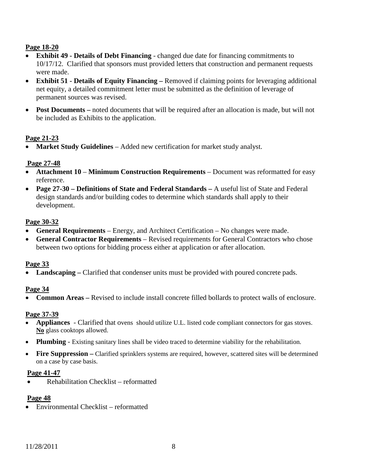# **Page 18-20**

- **Exhibit 49 - Details of Debt Financing** changed due date for financing commitments to 10/17/12. Clarified that sponsors must provided letters that construction and permanent requests were made.
- **Exhibit 51 - Details of Equity Financing –** Removed if claiming points for leveraging additional net equity, a detailed commitment letter must be submitted as the definition of leverage of permanent sources was revised.
- **Post Documents** noted documents that will be required after an allocation is made, but will not be included as Exhibits to the application.

# **Page 21-23**

• **Market Study Guidelines** – Added new certification for market study analyst.

# **Page 27-48**

- **Attachment 10 Minimum Construction Requirements** Document was reformatted for easy reference.
- **Page 27-30 – Definitions of State and Federal Standards –** A useful list of State and Federal design standards and/or building codes to determine which standards shall apply to their development.

#### **Page 30-32**

- **General Requirements**  Energy, and Architect Certification No changes were made.
- **General Contractor Requirements** Revised requirements for General Contractors who chose between two options for bidding process either at application or after allocation.

#### **Page 33**

• **Landscaping** – Clarified that condenser units must be provided with poured concrete pads.

# **Page 34**

• **Common Areas –** Revised to include install concrete filled bollards to protect walls of enclosure.

# **Page 37-39**

- **Appliances**  Clarified that ovens should utilize U.L. listed code compliant connectors for gas stoves. **No** glass cooktops allowed.
- **Plumbing** Existing sanitary lines shall be video traced to determine viability for the rehabilitation.
- **Fire Suppression –** Clarified sprinklers systems are required, however, scattered sites will be determined on a case by case basis.

#### **Page 41-47**

• Rehabilitation Checklist – reformatted

#### **Page 48**

• Environmental Checklist – reformatted